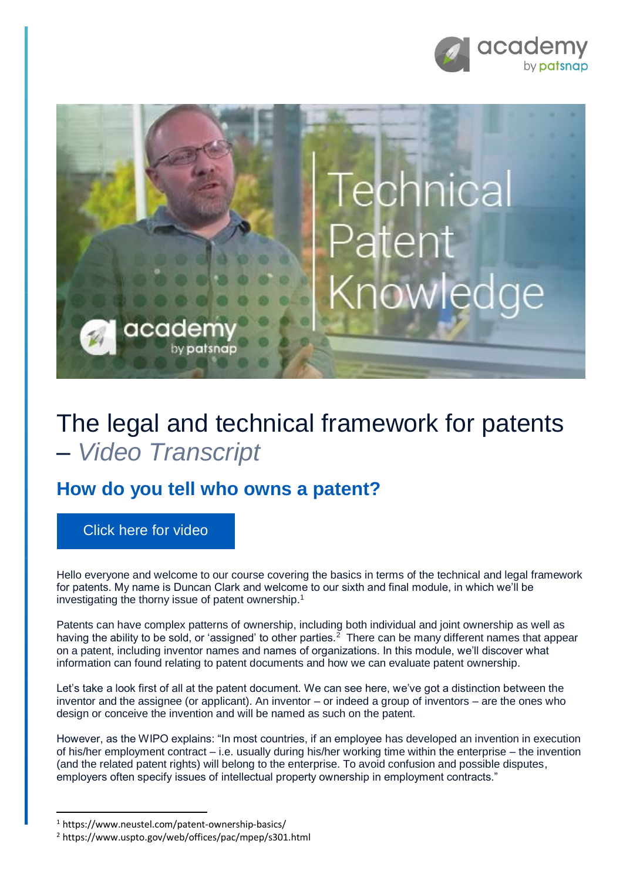



## The legal and technical framework for patents – *Video Transcript*

## **How do you tell who owns a patent?**

[Click here for video](https://academy.patsnap.com/courses/59bf8b7b7066d400129756ce/units/5a462af502989b0014b3d1a8#module-5)

Hello everyone and welcome to our course covering the basics in terms of the technical and legal framework for patents. My name is Duncan Clark and welcome to our sixth and final module, in which we'll be investigating the thorny issue of patent ownership.<sup>1</sup>

Patents can have complex patterns of ownership, including both individual and joint ownership as well as having the ability to be sold, or 'assigned' to other parties.<sup>2</sup> There can be many different names that appear on a patent, including inventor names and names of organizations. In this module, we'll discover what information can found relating to patent documents and how we can evaluate patent ownership.

Let's take a look first of all at the patent document. We can see here, we've got a distinction between the inventor and the assignee (or applicant). An inventor – or indeed a group of inventors – are the ones who design or conceive the invention and will be named as such on the patent.

However, as the WIPO explains: "In most countries, if an employee has developed an invention in execution of his/her employment contract – i.e. usually during his/her working time within the enterprise – the invention (and the related patent rights) will belong to the enterprise. To avoid confusion and possible disputes, employers often specify issues of intellectual property ownership in employment contracts."

**.** 

<sup>1</sup> https://www.neustel.com/patent-ownership-basics/

<sup>2</sup> https://www.uspto.gov/web/offices/pac/mpep/s301.html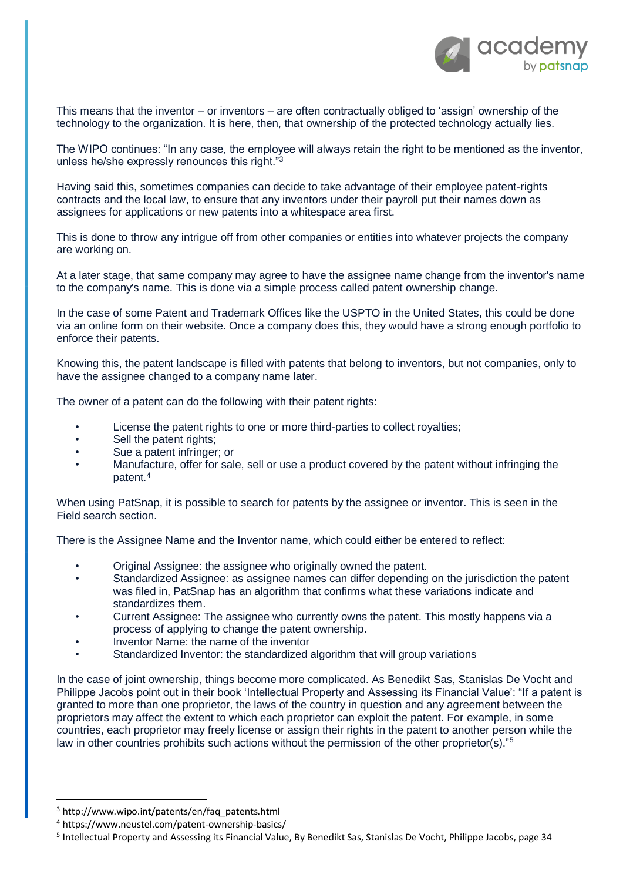

This means that the inventor – or inventors – are often contractually obliged to 'assign' ownership of the technology to the organization. It is here, then, that ownership of the protected technology actually lies.

The WIPO continues: "In any case, the employee will always retain the right to be mentioned as the inventor, unless he/she expressly renounces this right."<sup>3</sup>

Having said this, sometimes companies can decide to take advantage of their employee patent-rights contracts and the local law, to ensure that any inventors under their payroll put their names down as assignees for applications or new patents into a whitespace area first.

This is done to throw any intrigue off from other companies or entities into whatever projects the company are working on.

At a later stage, that same company may agree to have the assignee name change from the inventor's name to the company's name. This is done via a simple process called patent ownership change.

In the case of some Patent and Trademark Offices like the USPTO in the United States, this could be done via an online form on their website. Once a company does this, they would have a strong enough portfolio to enforce their patents.

Knowing this, the patent landscape is filled with patents that belong to inventors, but not companies, only to have the assignee changed to a company name later.

The owner of a patent can do the following with their patent rights:

- License the patent rights to one or more third-parties to collect royalties;
- Sell the patent rights;
- Sue a patent infringer; or
- Manufacture, offer for sale, sell or use a product covered by the patent without infringing the patent.<sup>4</sup>

When using PatSnap, it is possible to search for patents by the assignee or inventor. This is seen in the Field search section.

There is the Assignee Name and the Inventor name, which could either be entered to reflect:

- Original Assignee: the assignee who originally owned the patent.
- Standardized Assignee: as assignee names can differ depending on the jurisdiction the patent was filed in, PatSnap has an algorithm that confirms what these variations indicate and standardizes them.
- Current Assignee: The assignee who currently owns the patent. This mostly happens via a process of applying to change the patent ownership.
- Inventor Name: the name of the inventor
- Standardized Inventor: the standardized algorithm that will group variations

In the case of joint ownership, things become more complicated. As Benedikt Sas, Stanislas De Vocht and Philippe Jacobs point out in their book 'Intellectual Property and Assessing its Financial Value': "If a patent is granted to more than one proprietor, the laws of the country in question and any agreement between the proprietors may affect the extent to which each proprietor can exploit the patent. For example, in some countries, each proprietor may freely license or assign their rights in the patent to another person while the law in other countries prohibits such actions without the permission of the other proprietor(s)."<sup>5</sup>

1

<sup>3</sup> http://www.wipo.int/patents/en/faq\_patents.html

<sup>4</sup> https://www.neustel.com/patent-ownership-basics/

<sup>&</sup>lt;sup>5</sup> Intellectual Property and Assessing its Financial Value, By Benedikt Sas, Stanislas De Vocht, Philippe Jacobs, page 34